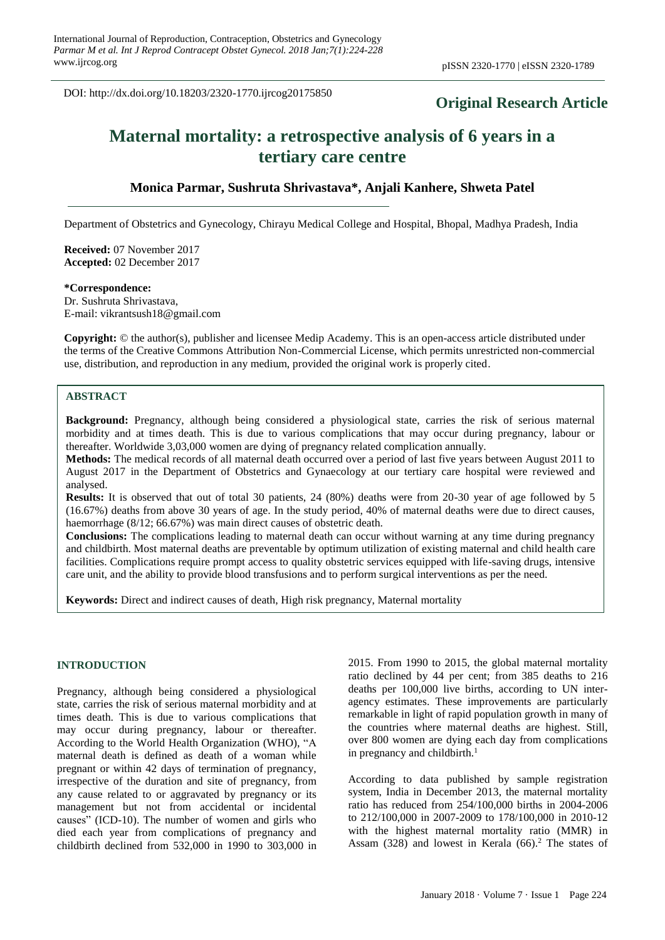DOI: http://dx.doi.org/10.18203/2320-1770.ijrcog20175850

# **Original Research Article**

# **Maternal mortality: a retrospective analysis of 6 years in a tertiary care centre**

# **Monica Parmar, Sushruta Shrivastava\*, Anjali Kanhere, Shweta Patel**

Department of Obstetrics and Gynecology, Chirayu Medical College and Hospital, Bhopal, Madhya Pradesh, India

**Received:** 07 November 2017 **Accepted:** 02 December 2017

# **\*Correspondence:**

Dr. Sushruta Shrivastava, E-mail: vikrantsush18@gmail.com

**Copyright:** © the author(s), publisher and licensee Medip Academy. This is an open-access article distributed under the terms of the Creative Commons Attribution Non-Commercial License, which permits unrestricted non-commercial use, distribution, and reproduction in any medium, provided the original work is properly cited.

# **ABSTRACT**

**Background:** Pregnancy, although being considered a physiological state, carries the risk of serious maternal morbidity and at times death. This is due to various complications that may occur during pregnancy, labour or thereafter. Worldwide 3,03,000 women are dying of pregnancy related complication annually.

**Methods:** The medical records of all maternal death occurred over a period of last five years between August 2011 to August 2017 in the Department of Obstetrics and Gynaecology at our tertiary care hospital were reviewed and analysed.

**Results:** It is observed that out of total 30 patients, 24 (80%) deaths were from 20-30 year of age followed by 5 (16.67%) deaths from above 30 years of age. In the study period, 40% of maternal deaths were due to direct causes, haemorrhage (8/12; 66.67%) was main direct causes of obstetric death.

**Conclusions:** The complications leading to maternal death can occur without warning at any time during pregnancy and childbirth. Most maternal deaths are preventable by optimum utilization of existing maternal and child health care facilities. Complications require prompt access to quality obstetric services equipped with life-saving drugs, intensive care unit, and the ability to provide blood transfusions and to perform surgical interventions as per the need.

**Keywords:** Direct and indirect causes of death, High risk pregnancy, Maternal mortality

# **INTRODUCTION**

Pregnancy, although being considered a physiological state, carries the risk of serious maternal morbidity and at times death. This is due to various complications that may occur during pregnancy, labour or thereafter. According to the World Health Organization (WHO), "A maternal death is defined as death of a woman while pregnant or within 42 days of termination of pregnancy, irrespective of the duration and site of pregnancy, from any cause related to or aggravated by pregnancy or its management but not from accidental or incidental causes" (ICD-10). The number of women and girls who died each year from complications of pregnancy and childbirth declined from 532,000 in 1990 to 303,000 in 2015. From 1990 to 2015, the global maternal mortality ratio declined by 44 per cent; from 385 deaths to 216 deaths per 100,000 live births, according to UN interagency estimates. These improvements are particularly remarkable in light of rapid population growth in many of the countries where maternal deaths are highest. Still, over 800 women are dying each day from complications in pregnancy and childbirth.<sup>1</sup>

According to data published by sample registration system, India in December 2013, the maternal mortality ratio has reduced from 254/100,000 births in 2004-2006 to 212/100,000 in 2007-2009 to 178/100,000 in 2010-12 with the highest maternal mortality ratio (MMR) in Assam  $(328)$  and lowest in Kerala  $(66)$ .<sup>2</sup> The states of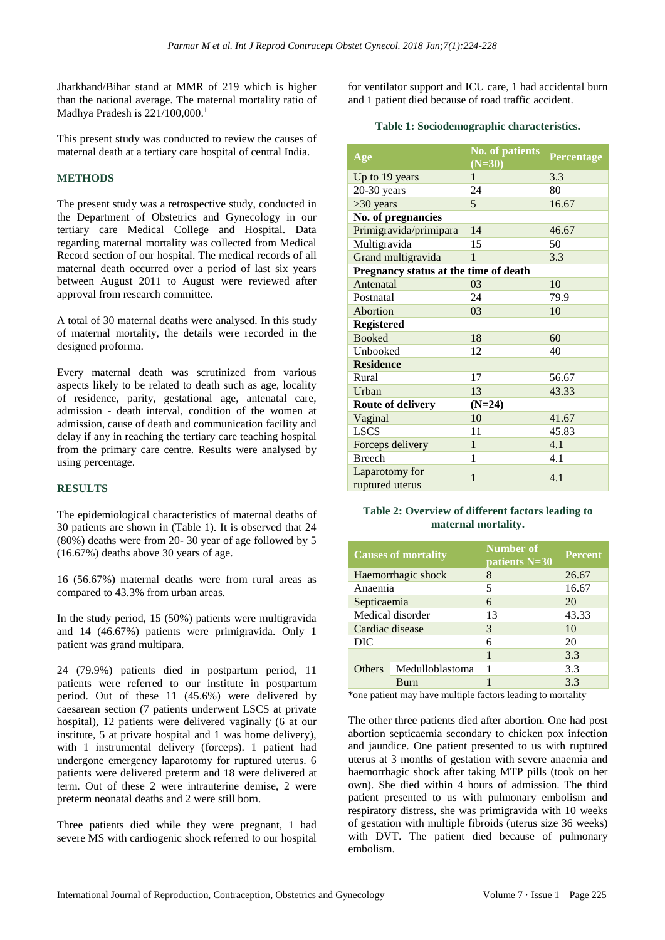Jharkhand/Bihar stand at MMR of 219 which is higher than the national average. The maternal mortality ratio of Madhya Pradesh is  $221/100,000$ <sup>1</sup>

This present study was conducted to review the causes of maternal death at a tertiary care hospital of central India.

# **METHODS**

The present study was a retrospective study, conducted in the Department of Obstetrics and Gynecology in our tertiary care Medical College and Hospital. Data regarding maternal mortality was collected from Medical Record section of our hospital. The medical records of all maternal death occurred over a period of last six years between August 2011 to August were reviewed after approval from research committee.

A total of 30 maternal deaths were analysed. In this study of maternal mortality, the details were recorded in the designed proforma.

Every maternal death was scrutinized from various aspects likely to be related to death such as age, locality of residence, parity, gestational age, antenatal care, admission - death interval, condition of the women at admission, cause of death and communication facility and delay if any in reaching the tertiary care teaching hospital from the primary care centre. Results were analysed by using percentage.

# **RESULTS**

The epidemiological characteristics of maternal deaths of 30 patients are shown in (Table 1). It is observed that 24 (80%) deaths were from 20- 30 year of age followed by 5 (16.67%) deaths above 30 years of age.

16 (56.67%) maternal deaths were from rural areas as compared to 43.3% from urban areas.

In the study period, 15 (50%) patients were multigravida and 14 (46.67%) patients were primigravida. Only 1 patient was grand multipara.

24 (79.9%) patients died in postpartum period, 11 patients were referred to our institute in postpartum period. Out of these 11 (45.6%) were delivered by caesarean section (7 patients underwent LSCS at private hospital), 12 patients were delivered vaginally (6 at our institute, 5 at private hospital and 1 was home delivery), with 1 instrumental delivery (forceps). 1 patient had undergone emergency laparotomy for ruptured uterus. 6 patients were delivered preterm and 18 were delivered at term. Out of these 2 were intrauterine demise, 2 were preterm neonatal deaths and 2 were still born.

Three patients died while they were pregnant, 1 had severe MS with cardiogenic shock referred to our hospital for ventilator support and ICU care, 1 had accidental burn and 1 patient died because of road traffic accident.

# **Table 1: Sociodemographic characteristics.**

| Age                                   | <b>No.</b> of patients<br>$(N=30)$ | Percentage |
|---------------------------------------|------------------------------------|------------|
| Up to 19 years                        | 1                                  | 3.3        |
| $20-30$ years                         | 24                                 | 80         |
| >30 years                             | 5                                  | 16.67      |
| No. of pregnancies                    |                                    |            |
| Primigravida/primipara                | 14                                 | 46.67      |
| Multigravida                          | 15                                 | 50         |
| Grand multigravida                    | 1                                  | 3.3        |
| Pregnancy status at the time of death |                                    |            |
| Antenatal                             | 03                                 | 10         |
| Postnatal                             | 24                                 | 79.9       |
| Abortion                              | 03                                 | 10         |
| <b>Registered</b>                     |                                    |            |
| <b>Booked</b>                         | 18                                 | 60         |
| Unbooked                              | 12                                 | 40         |
| <b>Residence</b>                      |                                    |            |
| Rural                                 | 17                                 | 56.67      |
| Urban                                 | 13                                 | 43.33      |
| <b>Route of delivery</b>              | $(N=24)$                           |            |
| Vaginal                               | 10                                 | 41.67      |
| <b>LSCS</b>                           | 11                                 | 45.83      |
| Forceps delivery                      | 1                                  | 4.1        |
| <b>Breech</b>                         | 1                                  | 4.1        |
| Laparotomy for<br>ruptured uterus     | $\mathbf{1}$                       | 4.1        |

# **Table 2: Overview of different factors leading to maternal mortality.**

| <b>Causes of mortality</b> |                    | <b>Number of</b><br>patients N=30 | <b>Percent</b> |
|----------------------------|--------------------|-----------------------------------|----------------|
|                            | Haemorrhagic shock | 8                                 | 26.67          |
| Anaemia                    |                    | 5                                 | 16.67          |
| Septicaemia                |                    | 6                                 | 20             |
|                            | Medical disorder   | 13                                | 43.33          |
| Cardiac disease            |                    | 3                                 | 10             |
| DIC                        |                    | 6                                 | 20             |
|                            |                    |                                   | 3.3            |
| Others                     | Medulloblastoma    |                                   | 3.3            |
|                            | Rurn               |                                   | 3.3            |

\*one patient may have multiple factors leading to mortality

The other three patients died after abortion. One had post abortion septicaemia secondary to chicken pox infection and jaundice. One patient presented to us with ruptured uterus at 3 months of gestation with severe anaemia and haemorrhagic shock after taking MTP pills (took on her own). She died within 4 hours of admission. The third patient presented to us with pulmonary embolism and respiratory distress, she was primigravida with 10 weeks of gestation with multiple fibroids (uterus size 36 weeks) with DVT. The patient died because of pulmonary embolism.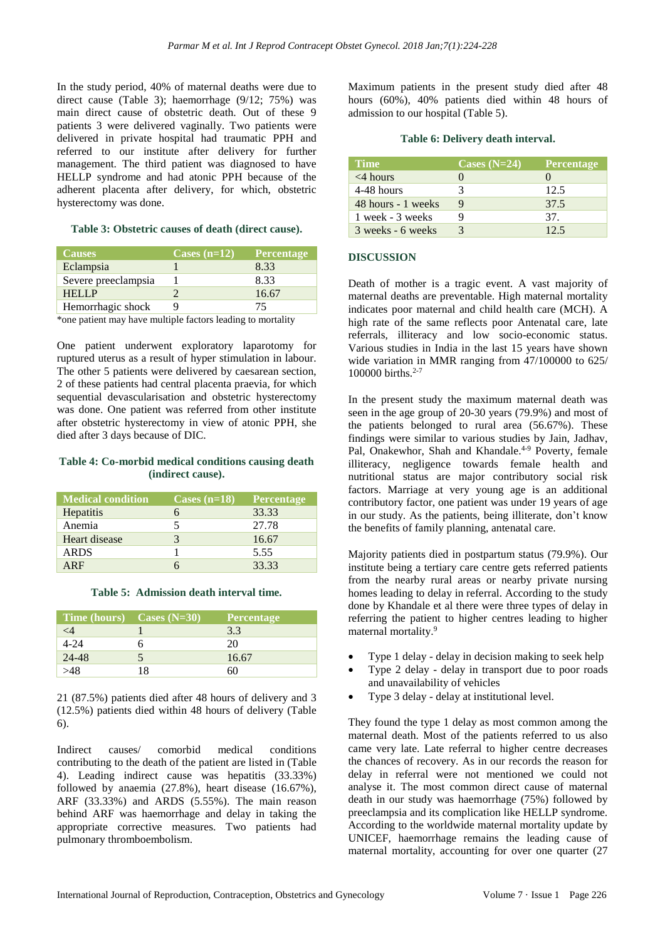In the study period, 40% of maternal deaths were due to direct cause (Table 3); haemorrhage (9/12; 75%) was main direct cause of obstetric death. Out of these 9 patients 3 were delivered vaginally. Two patients were delivered in private hospital had traumatic PPH and referred to our institute after delivery for further management. The third patient was diagnosed to have HELLP syndrome and had atonic PPH because of the adherent placenta after delivery, for which, obstetric hysterectomy was done.

#### **Table 3: Obstetric causes of death (direct cause).**

| <b>Causes</b>       | Cases $(n=12)$ | <b>Percentage</b> |
|---------------------|----------------|-------------------|
| Eclampsia           |                | 8.33              |
| Severe preeclampsia |                | 8.33              |
| <b>HELLP</b>        |                | 16.67             |
| Hemorrhagic shock   |                |                   |

\*one patient may have multiple factors leading to mortality

One patient underwent exploratory laparotomy for ruptured uterus as a result of hyper stimulation in labour. The other 5 patients were delivered by caesarean section, 2 of these patients had central placenta praevia, for which sequential devascularisation and obstetric hysterectomy was done. One patient was referred from other institute after obstetric hysterectomy in view of atonic PPH, she died after 3 days because of DIC.

#### **Table 4: Co-morbid medical conditions causing death (indirect cause).**

| <b>Medical condition</b> | Cases $(n=18)$ | <b>Percentage</b> |
|--------------------------|----------------|-------------------|
| Hepatitis                | 6              | 33.33             |
| Anemia                   | 5              | 27.78             |
| Heart disease            | 3              | 16.67             |
| <b>ARDS</b>              |                | 5.55              |
| ARF                      |                | 33.33             |

#### **Table 5: Admission death interval time.**

| Time (hours) $\text{Cases}$ (N=30) |    | <b>Percentage</b> |
|------------------------------------|----|-------------------|
| <4                                 |    | 3.3               |
| $4 - 24$                           |    | 20                |
| 24-48                              |    | 16.67             |
|                                    | 18 |                   |

21 (87.5%) patients died after 48 hours of delivery and 3 (12.5%) patients died within 48 hours of delivery (Table 6).

Indirect causes/ comorbid medical conditions contributing to the death of the patient are listed in (Table 4). Leading indirect cause was hepatitis (33.33%) followed by anaemia (27.8%), heart disease (16.67%), ARF (33.33%) and ARDS (5.55%). The main reason behind ARF was haemorrhage and delay in taking the appropriate corrective measures. Two patients had pulmonary thromboembolism.

Maximum patients in the present study died after 48 hours (60%), 40% patients died within 48 hours of admission to our hospital (Table 5).

# **Table 6: Delivery death interval.**

| Time.              | Cases $(N=24)$ | Percentage |
|--------------------|----------------|------------|
| $<$ 4 hours        |                |            |
| 4-48 hours         |                | 12.5       |
| 48 hours - 1 weeks |                | 37.5       |
| 1 week - 3 weeks   |                | 37.        |
| 3 weeks - 6 weeks  |                | 125        |

# **DISCUSSION**

Death of mother is a tragic event. A vast majority of maternal deaths are preventable. High maternal mortality indicates poor maternal and child health care (MCH). A high rate of the same reflects poor Antenatal care, late referrals, illiteracy and low socio-economic status. Various studies in India in the last 15 years have shown wide variation in MMR ranging from 47/100000 to 625/ 100000 births.<sup>2-7</sup>

In the present study the maximum maternal death was seen in the age group of 20-30 years (79.9%) and most of the patients belonged to rural area (56.67%). These findings were similar to various studies by Jain, Jadhav, Pal, Onakewhor, Shah and Khandale.<sup>4-9</sup> Poverty, female illiteracy, negligence towards female health and nutritional status are major contributory social risk factors. Marriage at very young age is an additional contributory factor, one patient was under 19 years of age in our study. As the patients, being illiterate, don't know the benefits of family planning, antenatal care.

Majority patients died in postpartum status (79.9%). Our institute being a tertiary care centre gets referred patients from the nearby rural areas or nearby private nursing homes leading to delay in referral. According to the study done by Khandale et al there were three types of delay in referring the patient to higher centres leading to higher maternal mortality.<sup>9</sup>

- Type 1 delay delay in decision making to seek help
- Type 2 delay delay in transport due to poor roads and unavailability of vehicles
- Type 3 delay delay at institutional level.

They found the type 1 delay as most common among the maternal death. Most of the patients referred to us also came very late. Late referral to higher centre decreases the chances of recovery. As in our records the reason for delay in referral were not mentioned we could not analyse it. The most common direct cause of maternal death in our study was haemorrhage (75%) followed by preeclampsia and its complication like HELLP syndrome. According to the worldwide maternal mortality update by UNICEF, haemorrhage remains the leading cause of maternal mortality, accounting for over one quarter (27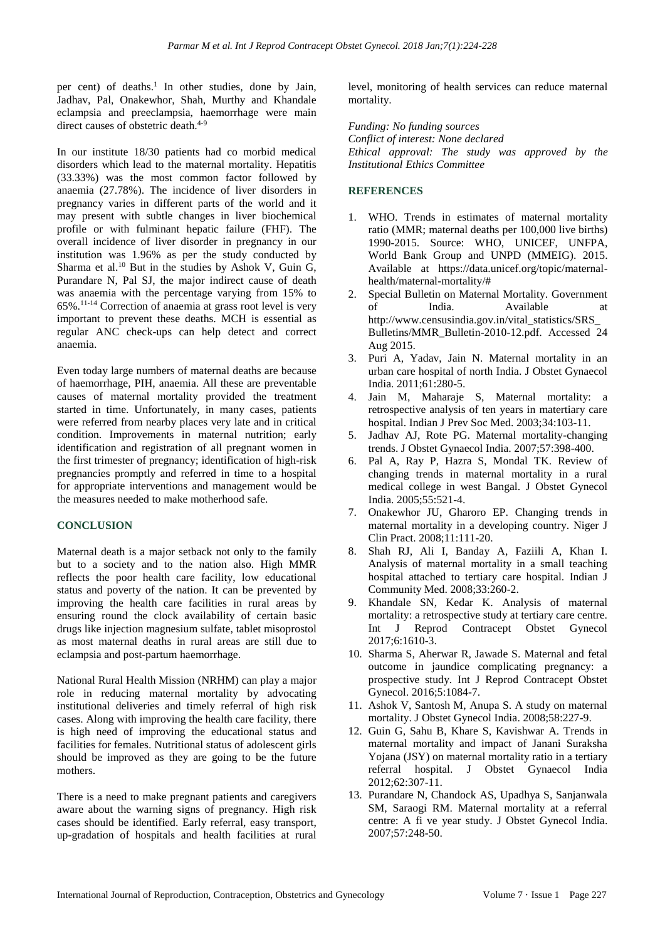per cent) of deaths. 1 In other studies, done by Jain, Jadhav, Pal, Onakewhor, Shah, Murthy and Khandale eclampsia and preeclampsia, haemorrhage were main direct causes of obstetric death.<sup>4-9</sup>

In our institute 18/30 patients had co morbid medical disorders which lead to the maternal mortality. Hepatitis (33.33%) was the most common factor followed by anaemia (27.78%). The incidence of liver disorders in pregnancy varies in different parts of the world and it may present with subtle changes in liver biochemical profile or with fulminant hepatic failure (FHF). The overall incidence of liver disorder in pregnancy in our institution was 1.96% as per the study conducted by Sharma et al.<sup>10</sup> But in the studies by Ashok V, Guin G, Purandare N, Pal SJ, the major indirect cause of death was anaemia with the percentage varying from 15% to 65%. 11-14 Correction of anaemia at grass root level is very important to prevent these deaths. MCH is essential as regular ANC check-ups can help detect and correct anaemia.

Even today large numbers of maternal deaths are because of haemorrhage, PIH, anaemia. All these are preventable causes of maternal mortality provided the treatment started in time. Unfortunately, in many cases, patients were referred from nearby places very late and in critical condition. Improvements in maternal nutrition; early identification and registration of all pregnant women in the first trimester of pregnancy; identification of high-risk pregnancies promptly and referred in time to a hospital for appropriate interventions and management would be the measures needed to make motherhood safe.

# **CONCLUSION**

Maternal death is a major setback not only to the family but to a society and to the nation also. High MMR reflects the poor health care facility, low educational status and poverty of the nation. It can be prevented by improving the health care facilities in rural areas by ensuring round the clock availability of certain basic drugs like injection magnesium sulfate, tablet misoprostol as most maternal deaths in rural areas are still due to eclampsia and post-partum haemorrhage.

National Rural Health Mission (NRHM) can play a major role in reducing maternal mortality by advocating institutional deliveries and timely referral of high risk cases. Along with improving the health care facility, there is high need of improving the educational status and facilities for females. Nutritional status of adolescent girls should be improved as they are going to be the future mothers.

There is a need to make pregnant patients and caregivers aware about the warning signs of pregnancy. High risk cases should be identified. Early referral, easy transport, up-gradation of hospitals and health facilities at rural level, monitoring of health services can reduce maternal mortality.

*Funding: No funding sources Conflict of interest: None declared Ethical approval: The study was approved by the Institutional Ethics Committee*

# **REFERENCES**

- 1. WHO. Trends in estimates of maternal mortality ratio (MMR; maternal deaths per 100,000 live births) 1990-2015. Source: WHO, UNICEF, UNFPA, World Bank Group and UNPD (MMEIG). 2015. Available at https://data.unicef.org/topic/maternalhealth/maternal-mortality/#
- 2. Special Bulletin on Maternal Mortality. Government of India. Available at http://www.censusindia.gov.in/vital\_statistics/SRS\_ Bulletins/MMR\_Bulletin-2010-12.pdf. Accessed 24 Aug 2015.
- 3. Puri A, Yadav, Jain N. Maternal mortality in an urban care hospital of north India. J Obstet Gynaecol India. 2011;61:280-5.
- 4. Jain M, Maharaje S, Maternal mortality: a retrospective analysis of ten years in matertiary care hospital. Indian J Prev Soc Med. 2003;34:103-11.
- 5. Jadhav AJ, Rote PG. Maternal mortality-changing trends. J Obstet Gynaecol India. 2007;57:398-400.
- 6. Pal A, Ray P, Hazra S, Mondal TK. Review of changing trends in maternal mortality in a rural medical college in west Bangal. J Obstet Gynecol India. 2005;55:521-4.
- 7. Onakewhor JU, Gharoro EP. Changing trends in maternal mortality in a developing country. Niger J Clin Pract. 2008;11:111-20.
- 8. Shah RJ, Ali I, Banday A, Faziili A, Khan I. Analysis of maternal mortality in a small teaching hospital attached to tertiary care hospital. Indian J Community Med. 2008;33:260-2.
- 9. Khandale SN, Kedar K. Analysis of maternal mortality: a retrospective study at tertiary care centre. Int J Reprod Contracept Obstet Gynecol 2017;6:1610-3.
- 10. Sharma S, Aherwar R, Jawade S. Maternal and fetal outcome in jaundice complicating pregnancy: a prospective study. Int J Reprod Contracept Obstet Gynecol. 2016;5:1084-7.
- 11. Ashok V, Santosh M, Anupa S. A study on maternal mortality. J Obstet Gynecol India. 2008;58:227-9.
- 12. Guin G, Sahu B, Khare S, Kavishwar A. Trends in maternal mortality and impact of Janani Suraksha Yojana (JSY) on maternal mortality ratio in a tertiary referral hospital. J Obstet Gynaecol India 2012;62:307-11.
- 13. Purandare N, Chandock AS, Upadhya S, Sanjanwala SM, Saraogi RM. Maternal mortality at a referral centre: A fi ve year study. J Obstet Gynecol India. 2007;57:248-50.